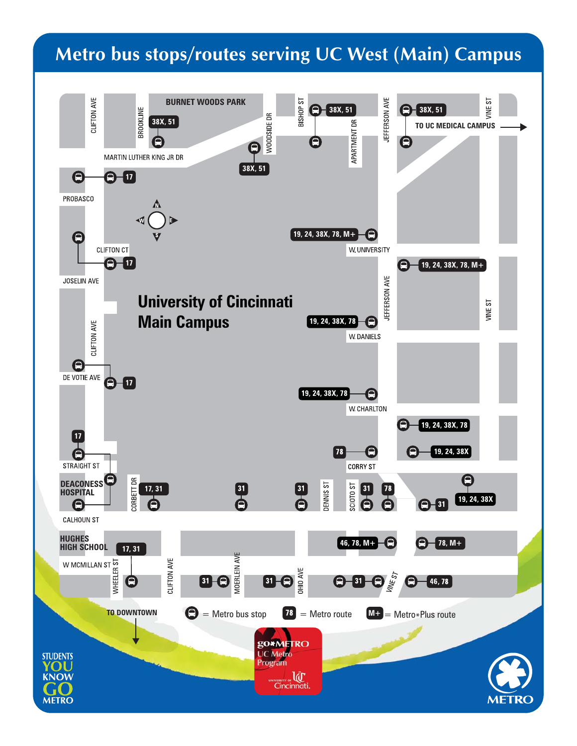## **Metro bus stops/routes serving UC West (Main) Campus**